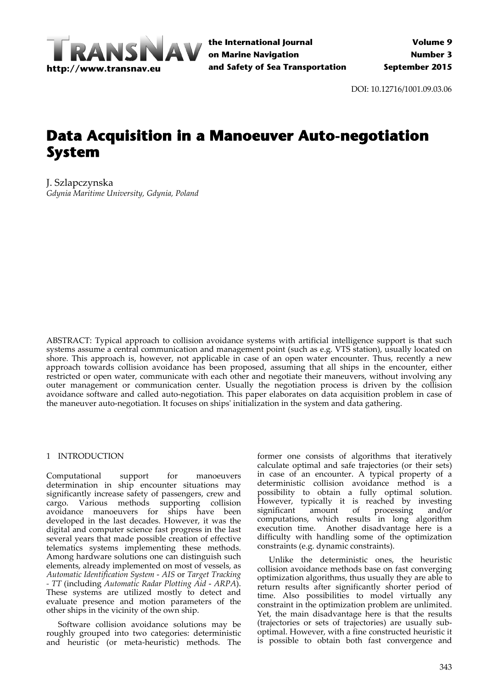

DOI: 10.12716/1001.09.03.06

# **Data Acquisition in a Manoeuver Auto-negotiation System**

J. Szlapczynska *Gdynia Maritime University, Gdynia, Poland*

ABSTRACT: Typical approach to collision avoidance systems with artificial intelligence support is that such systems assume a central communication and management point (such as e.g. VTS station), usually located on shore. This approach is, however, not applicable in case of an open water encounter. Thus, recently a new approach towards collision avoidance has been proposed, assuming that all ships in the encounter, either restricted or open water, communicate with each other and negotiate their maneuvers, without involving any outer management or communication center. Usually the negotiation process is driven by the collision avoidance software and called auto‐negotiation. This paper elaborates on data acquisition problem in case of the maneuver auto‐negotiation. It focuses on shipsʹ initialization in the system and data gathering.

#### 1 INTRODUCTION

Computational support for manoeuvers determination in ship encounter situations may significantly increase safety of passengers, crew and cargo. Various methods supporting collision avoidance manoeuvers for ships have been developed in the last decades. However, it was the digital and computer science fast progress in the last several years that made possible creation of effective telematics systems implementing these methods. Among hardware solutions one can distinguish such elements, already implemented on most of vessels, as *Automatic Identification System* ‐ *AIS* or *Target Tracking ‐ TT* (including *Automatic Radar Plotting Aid* ‐ *ARPA*). These systems are utilized mostly to detect and evaluate presence and motion parameters of the other ships in the vicinity of the own ship.

Software collision avoidance solutions may be roughly grouped into two categories: deterministic and heuristic (or meta‐heuristic) methods. The former one consists of algorithms that iteratively calculate optimal and safe trajectories (or their sets) in case of an encounter. A typical property of a deterministic collision avoidance method is a possibility to obtain a fully optimal solution. However, typically it is reached by investing significant amount of processing and/or computations, which results in long algorithm execution time. Another disadvantage here is a difficulty with handling some of the optimization constraints (e.g. dynamic constraints).

Unlike the deterministic ones, the heuristic collision avoidance methods base on fast converging optimization algorithms, thus usually they are able to return results after significantly shorter period of time. Also possibilities to model virtually any constraint in the optimization problem are unlimited. Yet, the main disadvantage here is that the results (trajectories or sets of trajectories) are usually sub‐ optimal. However, with a fine constructed heuristic it is possible to obtain both fast convergence and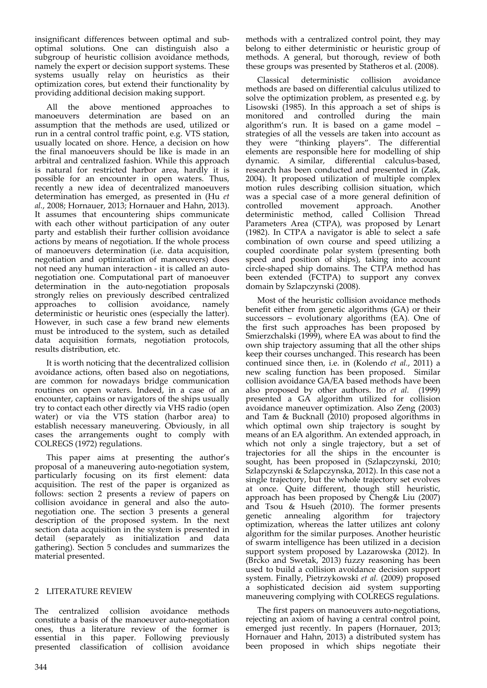insignificant differences between optimal and sub‐ optimal solutions. One can distinguish also a subgroup of heuristic collision avoidance methods, namely the expert or decision support systems. These systems usually relay on heuristics as their optimization cores, but extend their functionality by providing additional decision making support.

All the above mentioned approaches to manoeuvers determination are based on an assumption that the methods are used, utilized or run in a central control traffic point, e.g. VTS station, usually located on shore. Hence, a decision on how the final manoeuvers should be like is made in an arbitral and centralized fashion. While this approach is natural for restricted harbor area, hardly it is possible for an encounter in open waters. Thus, recently a new idea of decentralized manoeuvers determination has emerged, as presented in (Hu *et al.*, 2008; Hornauer, 2013; Hornauer and Hahn, 2013). It assumes that encountering ships communicate with each other without participation of any outer party and establish their further collision avoidance actions by means of negotiation. If the whole process of manoeuvers determination (i.e. data acquisition, negotiation and optimization of manoeuvers) does not need any human interaction ‐ it is called an auto‐ negotiation one. Computational part of manoeuver determination in the auto‐negotiation proposals strongly relies on previously described centralized approaches to collision avoidance, namely deterministic or heuristic ones (especially the latter). However, in such case a few brand new elements must be introduced to the system, such as detailed data acquisition formats, negotiation protocols, results distribution, etc.

It is worth noticing that the decentralized collision avoidance actions, often based also on negotiations, are common for nowadays bridge communication routines on open waters. Indeed, in a case of an encounter, captains or navigators of the ships usually try to contact each other directly via VHS radio (open water) or via the VTS station (harbor area) to establish necessary maneuvering. Obviously, in all cases the arrangements ought to comply with COLREGS (1972) regulations.

This paper aims at presenting the author's proposal of a maneuvering auto‐negotiation system, particularly focusing on its first element: data acquisition. The rest of the paper is organized as follows: section 2 presents a review of papers on collision avoidance in general and also the autonegotiation one. The section 3 presents a general description of the proposed system. In the next section data acquisition in the system is presented in detail (separately as initialization and data gathering). Section 5 concludes and summarizes the material presented.

## 2 LITERATURE REVIEW

The centralized collision avoidance methods constitute a basis of the manoeuver auto‐negotiation ones, thus a literature review of the former is essential in this paper. Following previously presented classification of collision avoidance

methods with a centralized control point, they may belong to either deterministic or heuristic group of methods. A general, but thorough, review of both these groups was presented by Statheros et al. (2008).

Classical deterministic collision avoidance methods are based on differential calculus utilized to solve the optimization problem, as presented e.g. by Lisowski (1985). In this approach a set of ships is monitored and controlled during the main algorithm's run. It is based on a game model – strategies of all the vessels are taken into account as they were "thinking players". The differential elements are responsible here for modelling of ship dynamic. A similar, differential calculus‐based, research has been conducted and presented in (Zak, 2004). It proposed utilization of multiple complex motion rules describing collision situation, which was a special case of a more general definition of controlled movement approach. Another deterministic method, called Collision Thread Parameters Area (CTPA), was proposed by Lenart (1982). In CTPA a navigator is able to select a safe combination of own course and speed utilizing a coupled coordinate polar system (presenting both speed and position of ships), taking into account circle‐shaped ship domains. The CTPA method has been extended (FCTPA) to support any convex domain by Szlapczynski (2008).

Most of the heuristic collision avoidance methods benefit either from genetic algorithms (GA) or their successors – evolutionary algorithms (EA). One of the first such approaches has been proposed by Smierzchalski (1999), where EA was about to find the own ship trajectory assuming that all the other ships keep their courses unchanged. This research has been continued since then, i.e. in (Kolendo *et al.*, 2011) a new scaling function has been proposed. Similar collision avoidance GA/EA based methods have been also proposed by other authors. Ito *et al.* (1999) presented a GA algorithm utilized for collision avoidance maneuver optimization. Also Zeng (2003) and Tam & Bucknall (2010) proposed algorithms in which optimal own ship trajectory is sought by means of an EA algorithm. An extended approach, in which not only a single trajectory, but a set of trajectories for all the ships in the encounter is sought, has been proposed in (Szlapczynski, 2010; Szlapczynski & Szlapczynska, 2012). In this case not a single trajectory, but the whole trajectory set evolves at once. Quite different, though still heuristic, approach has been proposed by Cheng& Liu (2007) and Tsou & Hsueh (2010). The former presents genetic annealing algorithm for trajectory optimization, whereas the latter utilizes ant colony algorithm for the similar purposes. Another heuristic of swarm intelligence has been utilized in a decision support system proposed by Lazarowska (2012). In (Brcko and Swetak, 2013) fuzzy reasoning has been used to build a collision avoidance decision support system. Finally, Pietrzykowski *et al.* (2009) proposed a sophisticated decision aid system supporting maneuvering complying with COLREGS regulations.

The first papers on manoeuvers auto-negotiations, rejecting an axiom of having a central control point, emerged just recently. In papers (Hornauer, 2013; Hornauer and Hahn, 2013) a distributed system has been proposed in which ships negotiate their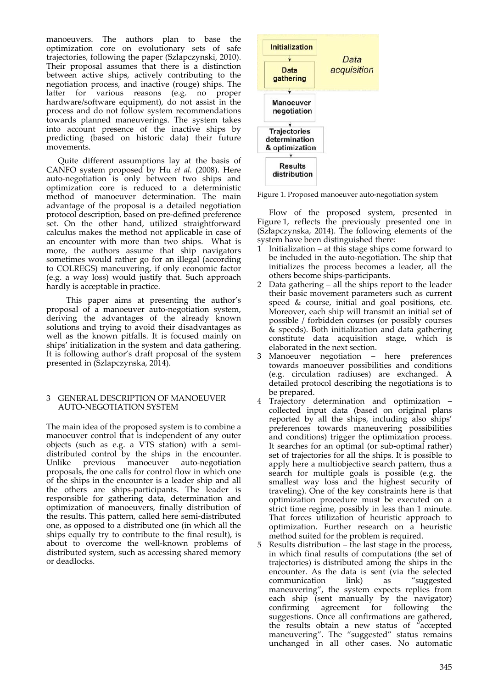manoeuvers. The authors plan to base the optimization core on evolutionary sets of safe trajectories, following the paper (Szlapczynski, 2010). Their proposal assumes that there is a distinction between active ships, actively contributing to the negotiation process, and inactive (rouge) ships. The latter for various reasons (e.g. no proper hardware/software equipment), do not assist in the process and do not follow system recommendations towards planned maneuverings. The system takes into account presence of the inactive ships by predicting (based on historic data) their future movements.

Quite different assumptions lay at the basis of CANFO system proposed by Hu *et al.* (2008). Here auto-negotiation is only between two ships and optimization core is reduced to a deterministic method of manoeuver determination. The main advantage of the proposal is a detailed negotiation protocol description, based on pre‐defined preference set. On the other hand, utilized straightforward calculus makes the method not applicable in case of an encounter with more than two ships. What is more, the authors assume that ship navigators sometimes would rather go for an illegal (according to COLREGS) maneuvering, if only economic factor (e.g. a way loss) would justify that. Such approach hardly is acceptable in practice.

 This paper aims at presenting the author's proposal of a manoeuver auto‐negotiation system, deriving the advantages of the already known solutions and trying to avoid their disadvantages as well as the known pitfalls. It is focused mainly on ships' initialization in the system and data gathering. It is following author's draft proposal of the system presented in (Szlapczynska, 2014).

## 3 GENERAL DESCRIPTION OF MANOEUVER AUTO‐NEGOTIATION SYSTEM

The main idea of the proposed system is to combine a manoeuver control that is independent of any outer objects (such as e.g. a VTS station) with a semi‐ distributed control by the ships in the encounter.<br>Unlike previous manoeuver auto-negotiation Unlike previous manoeuver auto‐negotiation proposals, the one calls for control flow in which one of the ships in the encounter is a leader ship and all the others are ships‐participants. The leader is responsible for gathering data, determination and optimization of manoeuvers, finally distribution of the results. This pattern, called here semi‐distributed one, as opposed to a distributed one (in which all the ships equally try to contribute to the final result), is about to overcome the well‐known problems of distributed system, such as accessing shared memory or deadlocks.



Figure 1. Proposed manoeuver auto‐negotiation system

Flow of the proposed system, presented in Figure 1, reflects the previously presented one in (Szłapczynska, 2014). The following elements of the system have been distinguished there:

- Initialization at this stage ships come forward to be included in the auto‐negotiation. The ship that initializes the process becomes a leader, all the others become ships‐participants.
- 2 Data gathering all the ships report to the leader their basic movement parameters such as current speed & course, initial and goal positions, etc. Moreover, each ship will transmit an initial set of possible / forbidden courses (or possibly courses & speeds). Both initialization and data gathering constitute data acquisition stage, which is elaborated in the next section.
- 3 Manoeuver negotiation here preferences towards manoeuver possibilities and conditions (e.g. circulation radiuses) are exchanged. A detailed protocol describing the negotiations is to be prepared.
- 4 Trajectory determination and optimization collected input data (based on original plans reported by all the ships, including also ships' preferences towards maneuvering possibilities and conditions) trigger the optimization process. It searches for an optimal (or sub‐optimal rather) set of trajectories for all the ships. It is possible to apply here a multiobjective search pattern, thus a search for multiple goals is possible (e.g. the smallest way loss and the highest security of traveling). One of the key constraints here is that optimization procedure must be executed on a strict time regime, possibly in less than 1 minute. That forces utilization of heuristic approach to optimization. Further research on a heuristic method suited for the problem is required.

Results distribution – the last stage in the process, in which final results of computations (the set of trajectories) is distributed among the ships in the encounter. As the data is sent (via the selected communication link) as "suggested communication link) as maneuvering", the system expects replies from each ship (sent manually by the navigator) confirming agreement for following the suggestions. Once all confirmations are gathered, the results obtain a new status of "accepted maneuvering". The "suggested" status remains unchanged in all other cases. No automatic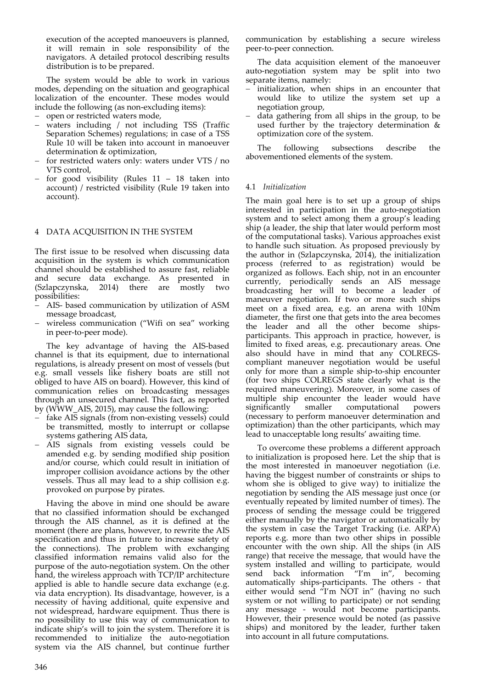execution of the accepted manoeuvers is planned, it will remain in sole responsibility of the navigators. A detailed protocol describing results distribution is to be prepared.

The system would be able to work in various modes, depending on the situation and geographical localization of the encounter. These modes would include the following (as non‐excluding items):

- open or restricted waters mode,
- waters including / not including TSS (Traffic Separation Schemes) regulations; in case of a TSS Rule 10 will be taken into account in manoeuver determination & optimization,
- for restricted waters only: waters under VTS / no VTS control,
- $-$  for good visibility (Rules  $11 18$  taken into account) / restricted visibility (Rule 19 taken into account).

## 4 DATA ACQUISITION IN THE SYSTEM

The first issue to be resolved when discussing data acquisition in the system is which communication channel should be established to assure fast, reliable and secure data exchange. As presented in (Szlapczynska, 2014) there are mostly two possibilities:

- AIS‐ based communication by utilization of ASM message broadcast,
- wireless communication ("Wifi on sea" working in peer‐to‐peer mode).

The key advantage of having the AIS‐based channel is that its equipment, due to international regulations, is already present on most of vessels (but e.g. small vessels like fishery boats are still not obliged to have AIS on board). However, this kind of communication relies on broadcasting messages through an unsecured channel. This fact, as reported by (WWW\_AIS, 2015), may cause the following:

- fake AIS signals (from non‐existing vessels) could be transmitted, mostly to interrupt or collapse systems gathering AIS data,
- AIS signals from existing vessels could be amended e.g. by sending modified ship position and/or course, which could result in initiation of improper collision avoidance actions by the other vessels. Thus all may lead to a ship collision e.g. provoked on purpose by pirates.

Having the above in mind one should be aware that no classified information should be exchanged through the AIS channel, as it is defined at the moment (there are plans, however, to rewrite the AIS specification and thus in future to increase safety of the connections). The problem with exchanging classified information remains valid also for the purpose of the auto‐negotiation system. On the other hand, the wireless approach with TCP/IP architecture applied is able to handle secure data exchange (e.g. via data encryption). Its disadvantage, however, is a necessity of having additional, quite expensive and not widespread, hardware equipment. Thus there is no possibility to use this way of communication to indicate ship's will to join the system. Therefore it is recommended to initialize the auto‐negotiation system via the AIS channel, but continue further communication by establishing a secure wireless peer‐to‐peer connection.

The data acquisition element of the manoeuver auto‐negotiation system may be split into two separate items, namely:

- initialization, when ships in an encounter that would like to utilize the system set up a negotiation group,
- data gathering from all ships in the group, to be used further by the trajectory determination & optimization core of the system.

The following subsections describe the abovementioned elements of the system.

## 4.1 *Initialization*

The main goal here is to set up a group of ships interested in participation in the auto-negotiation system and to select among them a group's leading ship (a leader, the ship that later would perform most of the computational tasks). Various approaches exist to handle such situation. As proposed previously by the author in (Szlapczynska, 2014), the initialization process (referred to as registration) would be organized as follows. Each ship, not in an encounter currently, periodically sends an AIS message broadcasting her will to become a leader of maneuver negotiation. If two or more such ships meet on a fixed area, e.g. an arena with 10Nm diameter, the first one that gets into the area becomes the leader and all the other become shipsparticipants. This approach in practice, however, is limited to fixed areas, e.g. precautionary areas. One also should have in mind that any COLREGS‐ compliant maneuver negotiation would be useful only for more than a simple ship‐to‐ship encounter (for two ships COLREGS state clearly what is the required maneuvering). Moreover, in some cases of multiple ship encounter the leader would have significantly smaller computational powers (necessary to perform manoeuver determination and optimization) than the other participants, which may lead to unacceptable long results' awaiting time.

To overcome these problems a different approach to initialization is proposed here. Let the ship that is the most interested in manoeuver negotiation (i.e. having the biggest number of constraints or ships to whom she is obliged to give way) to initialize the negotiation by sending the AIS message just once (or eventually repeated by limited number of times). The process of sending the message could be triggered either manually by the navigator or automatically by the system in case the Target Tracking (i.e. ARPA) reports e.g. more than two other ships in possible encounter with the own ship. All the ships (in AIS range) that receive the message, that would have the system installed and willing to participate, would send back information "I'm in", becoming automatically ships‐participants. The others ‐ that either would send "I'm NOT in" (having no such system or not willing to participate) or not sending any message ‐ would not become participants. However, their presence would be noted (as passive ships) and monitored by the leader, further taken into account in all future computations.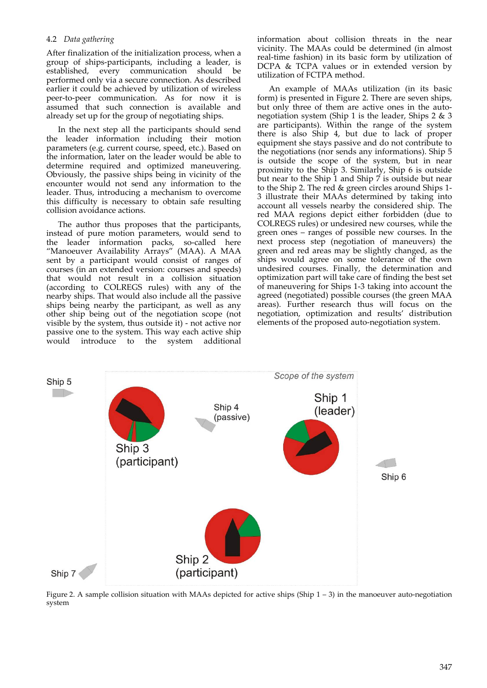## 4.2 *Data gathering*

After finalization of the initialization process, when a group of ships‐participants, including a leader, is established, every communication should be performed only via a secure connection. As described earlier it could be achieved by utilization of wireless peer‐to‐peer communication. As for now it is assumed that such connection is available and already set up for the group of negotiating ships.

In the next step all the participants should send the leader information including their motion parameters (e.g. current course, speed, etc.). Based on the information, later on the leader would be able to determine required and optimized maneuvering. Obviously, the passive ships being in vicinity of the encounter would not send any information to the leader. Thus, introducing a mechanism to overcome this difficulty is necessary to obtain safe resulting collision avoidance actions.

The author thus proposes that the participants, instead of pure motion parameters, would send to the leader information packs, so‐called here "Manoeuver Availability Arrays" (MAA). A MAA sent by a participant would consist of ranges of courses (in an extended version: courses and speeds) that would not result in a collision situation (according to COLREGS rules) with any of the nearby ships. That would also include all the passive ships being nearby the participant, as well as any other ship being out of the negotiation scope (not visible by the system, thus outside it) ‐ not active nor passive one to the system. This way each active ship would introduce to the system additional information about collision threats in the near vicinity. The MAAs could be determined (in almost real-time fashion) in its basic form by utilization of DCPA & TCPA values or in extended version by utilization of FCTPA method.

An example of MAAs utilization (in its basic form) is presented in Figure 2. There are seven ships, but only three of them are active ones in the autonegotiation system (Ship 1 is the leader, Ships 2 & 3 are participants). Within the range of the system there is also Ship 4, but due to lack of proper equipment she stays passive and do not contribute to the negotiations (nor sends any informations). Ship 5 is outside the scope of the system, but in near proximity to the Ship 3. Similarly, Ship 6 is outside but near to the Ship  $\overline{1}$  and Ship  $\overline{7}$  is outside but near to the Ship 2. The red & green circles around Ships 1‐ 3 illustrate their MAAs determined by taking into account all vessels nearby the considered ship. The red MAA regions depict either forbidden (due to COLREGS rules) or undesired new courses, while the green ones – ranges of possible new courses. In the next process step (negotiation of maneuvers) the green and red areas may be slightly changed, as the ships would agree on some tolerance of the own undesired courses. Finally, the determination and optimization part will take care of finding the best set of maneuvering for Ships 1‐3 taking into account the agreed (negotiated) possible courses (the green MAA areas). Further research thus will focus on the negotiation, optimization and results' distribution elements of the proposed auto‐negotiation system.



Figure 2. A sample collision situation with MAAs depicted for active ships (Ship  $1 - 3$ ) in the manoeuver auto-negotiation system